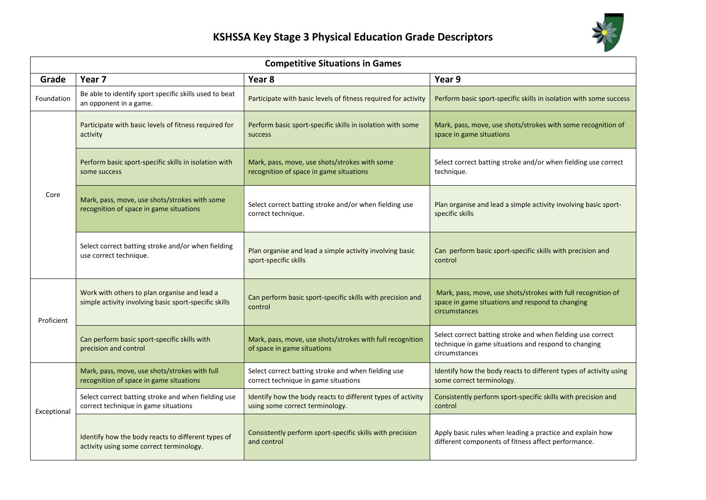

| <b>Competitive Situations in Games</b> |                                                                                                       |                                                                                                |                                                                                                                                      |  |  |
|----------------------------------------|-------------------------------------------------------------------------------------------------------|------------------------------------------------------------------------------------------------|--------------------------------------------------------------------------------------------------------------------------------------|--|--|
| Grade                                  | Year 7                                                                                                | Year 8                                                                                         | Year 9                                                                                                                               |  |  |
| Foundation                             | Be able to identify sport specific skills used to beat<br>an opponent in a game.                      | Participate with basic levels of fitness required for activity                                 | Perform basic sport-specific skills in isolation with some success                                                                   |  |  |
| Core                                   | Participate with basic levels of fitness required for<br>activity                                     | Perform basic sport-specific skills in isolation with some<br>success                          | Mark, pass, move, use shots/strokes with some recognition of<br>space in game situations                                             |  |  |
|                                        | Perform basic sport-specific skills in isolation with<br>some success                                 | Mark, pass, move, use shots/strokes with some<br>recognition of space in game situations       | Select correct batting stroke and/or when fielding use correct<br>technique.                                                         |  |  |
|                                        | Mark, pass, move, use shots/strokes with some<br>recognition of space in game situations              | Select correct batting stroke and/or when fielding use<br>correct technique.                   | Plan organise and lead a simple activity involving basic sport-<br>specific skills                                                   |  |  |
|                                        | Select correct batting stroke and/or when fielding<br>use correct technique.                          | Plan organise and lead a simple activity involving basic<br>sport-specific skills              | Can perform basic sport-specific skills with precision and<br>control                                                                |  |  |
| Proficient                             | Work with others to plan organise and lead a<br>simple activity involving basic sport-specific skills | Can perform basic sport-specific skills with precision and<br>control                          | Mark, pass, move, use shots/strokes with full recognition of<br>space in game situations and respond to changing<br>circumstances    |  |  |
|                                        | Can perform basic sport-specific skills with<br>precision and control                                 | Mark, pass, move, use shots/strokes with full recognition<br>of space in game situations       | Select correct batting stroke and when fielding use correct<br>technique in game situations and respond to changing<br>circumstances |  |  |
| Exceptional                            | Mark, pass, move, use shots/strokes with full<br>recognition of space in game situations              | Select correct batting stroke and when fielding use<br>correct technique in game situations    | Identify how the body reacts to different types of activity using<br>some correct terminology.                                       |  |  |
|                                        | Select correct batting stroke and when fielding use<br>correct technique in game situations           | Identify how the body reacts to different types of activity<br>using some correct terminology. | Consistently perform sport-specific skills with precision and<br>control                                                             |  |  |
|                                        | Identify how the body reacts to different types of<br>activity using some correct terminology.        | Consistently perform sport-specific skills with precision<br>and control                       | Apply basic rules when leading a practice and explain how<br>different components of fitness affect performance.                     |  |  |